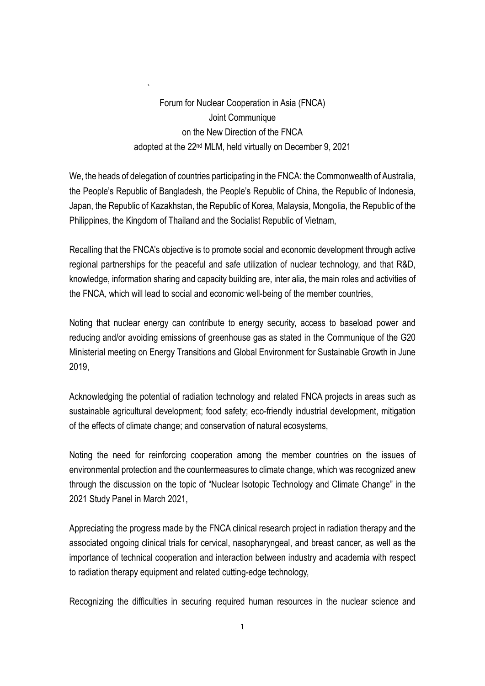Forum for Nuclear Cooperation in Asia (FNCA) Joint Communique on the New Direction of the FNCA adopted at the 22nd MLM, held virtually on December 9, 2021

`

We, the heads of delegation of countries participating in the FNCA: the Commonwealth of Australia, the People's Republic of Bangladesh, the People's Republic of China, the Republic of Indonesia, Japan, the Republic of Kazakhstan, the Republic of Korea, Malaysia, Mongolia, the Republic of the Philippines, the Kingdom of Thailand and the Socialist Republic of Vietnam,

Recalling that the FNCA's objective is to promote social and economic development through active regional partnerships for the peaceful and safe utilization of nuclear technology, and that R&D, knowledge, information sharing and capacity building are, inter alia, the main roles and activities of the FNCA, which will lead to social and economic well-being of the member countries,

Noting that nuclear energy can contribute to energy security, access to baseload power and reducing and/or avoiding emissions of greenhouse gas as stated in the Communique of the G20 Ministerial meeting on Energy Transitions and Global Environment for Sustainable Growth in June 2019,

Acknowledging the potential of radiation technology and related FNCA projects in areas such as sustainable agricultural development; food safety; eco-friendly industrial development, mitigation of the effects of climate change; and conservation of natural ecosystems,

Noting the need for reinforcing cooperation among the member countries on the issues of environmental protection and the countermeasures to climate change, which was recognized anew through the discussion on the topic of "Nuclear Isotopic Technology and Climate Change" in the 2021 Study Panel in March 2021,

Appreciating the progress made by the FNCA clinical research project in radiation therapy and the associated ongoing clinical trials for cervical, nasopharyngeal, and breast cancer, as well as the importance of technical cooperation and interaction between industry and academia with respect to radiation therapy equipment and related cutting-edge technology,

Recognizing the difficulties in securing required human resources in the nuclear science and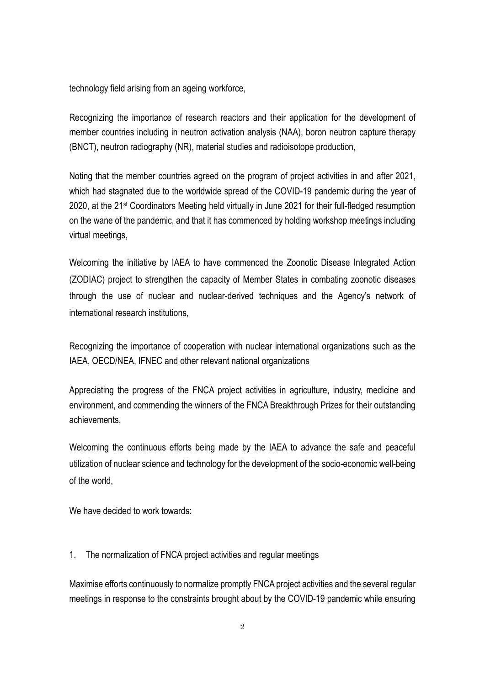technology field arising from an ageing workforce,

Recognizing the importance of research reactors and their application for the development of member countries including in neutron activation analysis (NAA), boron neutron capture therapy (BNCT), neutron radiography (NR), material studies and radioisotope production,

Noting that the member countries agreed on the program of project activities in and after 2021, which had stagnated due to the worldwide spread of the COVID-19 pandemic during the year of 2020, at the 21st Coordinators Meeting held virtually in June 2021 for their full-fledged resumption on the wane of the pandemic, and that it has commenced by holding workshop meetings including virtual meetings,

Welcoming the initiative by IAEA to have commenced the Zoonotic Disease Integrated Action (ZODIAC) project to strengthen the capacity of Member States in combating zoonotic diseases through the use of nuclear and nuclear-derived techniques and the Agency's network of international research institutions,

Recognizing the importance of cooperation with nuclear international organizations such as the IAEA, OECD/NEA, IFNEC and other relevant national organizations

Appreciating the progress of the FNCA project activities in agriculture, industry, medicine and environment, and commending the winners of the FNCA Breakthrough Prizes for their outstanding achievements,

Welcoming the continuous efforts being made by the IAEA to advance the safe and peaceful utilization of nuclear science and technology for the development of the socio-economic well-being of the world,

We have decided to work towards:

1. The normalization of FNCA project activities and regular meetings

Maximise efforts continuously to normalize promptly FNCA project activities and the several regular meetings in response to the constraints brought about by the COVID-19 pandemic while ensuring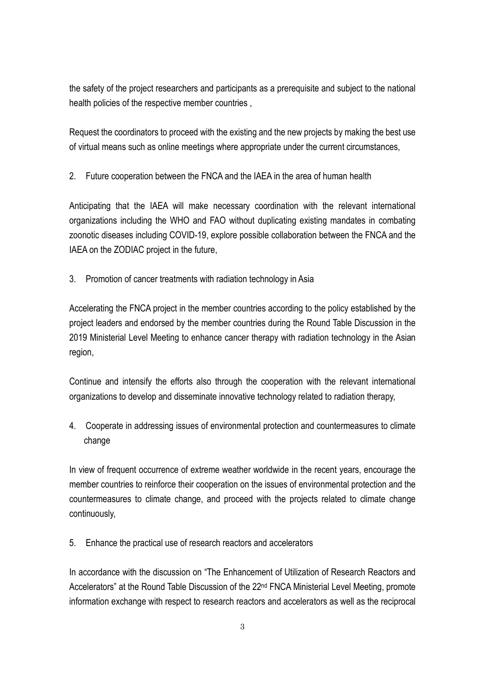the safety of the project researchers and participants as a prerequisite and subject to the national health policies of the respective member countries ,

Request the coordinators to proceed with the existing and the new projects by making the best use of virtual means such as online meetings where appropriate under the current circumstances,

2. Future cooperation between the FNCA and the IAEA in the area of human health

Anticipating that the IAEA will make necessary coordination with the relevant international organizations including the WHO and FAO without duplicating existing mandates in combating zoonotic diseases including COVID-19, explore possible collaboration between the FNCA and the IAEA on the ZODIAC project in the future,

3. Promotion of cancer treatments with radiation technology in Asia

Accelerating the FNCA project in the member countries according to the policy established by the project leaders and endorsed by the member countries during the Round Table Discussion in the 2019 Ministerial Level Meeting to enhance cancer therapy with radiation technology in the Asian region,

Continue and intensify the efforts also through the cooperation with the relevant international organizations to develop and disseminate innovative technology related to radiation therapy,

4. Cooperate in addressing issues of environmental protection and countermeasures to climate change

In view of frequent occurrence of extreme weather worldwide in the recent years, encourage the member countries to reinforce their cooperation on the issues of environmental protection and the countermeasures to climate change, and proceed with the projects related to climate change continuously,

5. Enhance the practical use of research reactors and accelerators

In accordance with the discussion on "The Enhancement of Utilization of Research Reactors and Accelerators" at the Round Table Discussion of the 22<sup>nd</sup> FNCA Ministerial Level Meeting, promote information exchange with respect to research reactors and accelerators as well as the reciprocal